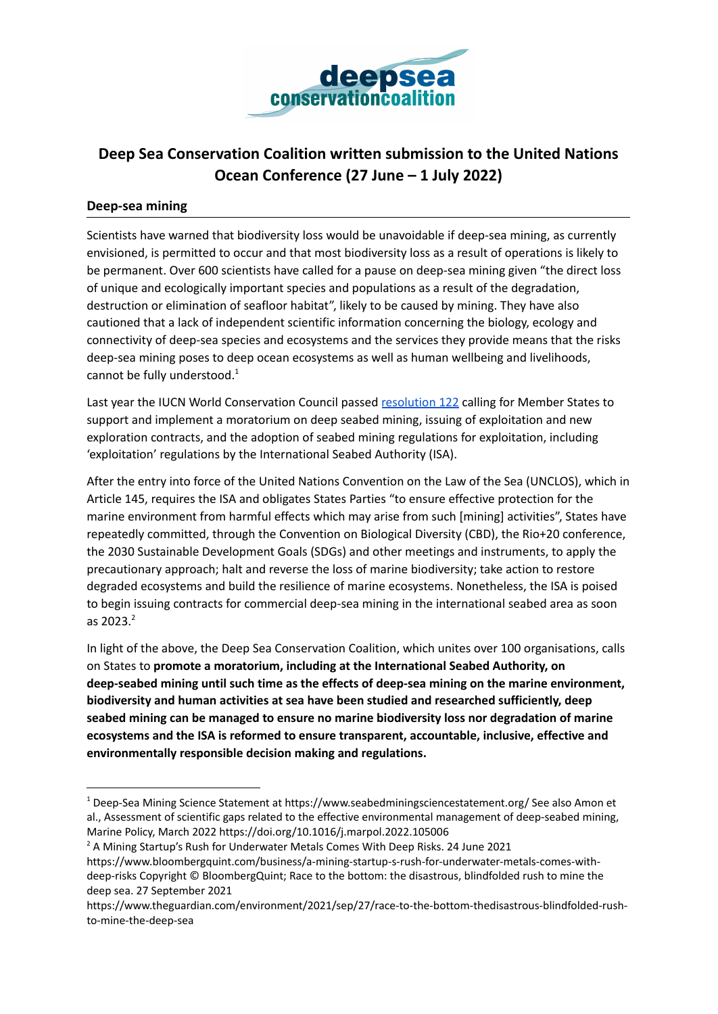

## **Deep Sea Conservation Coalition written submission to the United Nations Ocean Conference (27 June – 1 July 2022)**

## **Deep-sea mining**

Scientists have warned that biodiversity loss would be unavoidable if deep-sea mining, as currently envisioned, is permitted to occur and that most biodiversity loss as a result of operations is likely to be permanent. Over 600 scientists have called for a pause on deep-sea mining given "the direct loss of unique and ecologically important species and populations as a result of the degradation, destruction or elimination of seafloor habitat", likely to be caused by mining. They have also cautioned that a lack of independent scientific information concerning the biology, ecology and connectivity of deep-sea species and ecosystems and the services they provide means that the risks deep-sea mining poses to deep ocean ecosystems as well as human wellbeing and livelihoods, cannot be fully understood.<sup>1</sup>

Last year the IUCN World Conservation Council passed [resolution](https://portals.iucn.org/library/sites/library/files/resrecfiles/WCC_2020_RES_122_EN.pdf) 122 calling for Member States to support and implement a moratorium on deep seabed mining, issuing of exploitation and new exploration contracts, and the adoption of seabed mining regulations for exploitation, including 'exploitation' regulations by the International Seabed Authority (ISA).

After the entry into force of the United Nations Convention on the Law of the Sea (UNCLOS), which in Article 145, requires the ISA and obligates States Parties "to ensure effective protection for the marine environment from harmful effects which may arise from such [mining] activities", States have repeatedly committed, through the Convention on Biological Diversity (CBD), the Rio+20 conference, the 2030 Sustainable Development Goals (SDGs) and other meetings and instruments, to apply the precautionary approach; halt and reverse the loss of marine biodiversity; take action to restore degraded ecosystems and build the resilience of marine ecosystems. Nonetheless, the ISA is poised to begin issuing contracts for commercial deep-sea mining in the international seabed area as soon as 2023. $^{2}$ 

In light of the above, the Deep Sea Conservation Coalition, which unites over 100 organisations, calls on States to **promote a moratorium, including at the International Seabed Authority, on deep-seabed mining until such time as the effects of deep-sea mining on the marine environment, biodiversity and human activities at sea have been studied and researched sufficiently, deep seabed mining can be managed to ensure no marine biodiversity loss nor degradation of marine ecosystems and the ISA is reformed to ensure transparent, accountable, inclusive, effective and environmentally responsible decision making and regulations.**

<sup>&</sup>lt;sup>1</sup> Deep-Sea Mining Science Statement at https://www.seabedminingsciencestatement.org/ See also Amon et al., Assessment of scientific gaps related to the effective environmental management of deep-seabed mining, Marine Policy, March 2022 https://doi.org/10.1016/j.marpol.2022.105006

<sup>&</sup>lt;sup>2</sup> A Mining Startup's Rush for Underwater Metals Comes With Deep Risks. 24 June 2021

https://www.bloombergquint.com/business/a-mining-startup-s-rush-for-underwater-metals-comes-withdeep-risks Copyright © BloombergQuint; Race to the bottom: the disastrous, blindfolded rush to mine the deep sea. 27 September 2021

https://www.theguardian.com/environment/2021/sep/27/race-to-the-bottom-thedisastrous-blindfolded-rushto-mine-the-deep-sea